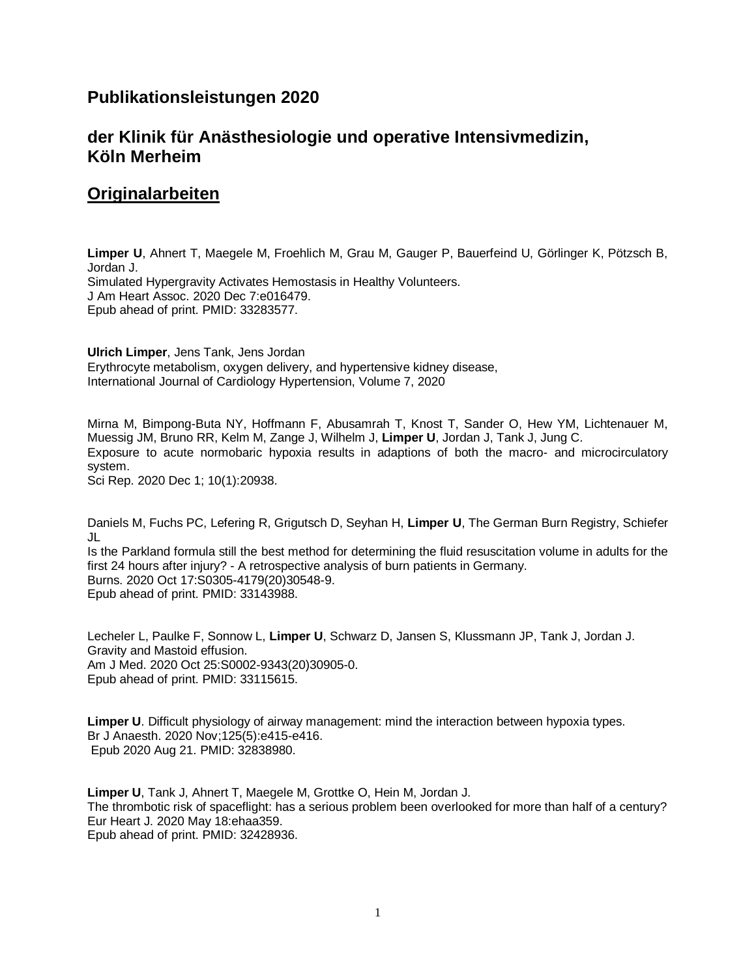## **Publikationsleistungen 2020**

# **der Klinik für Anästhesiologie und operative Intensivmedizin, Köln Merheim**

## **Originalarbeiten**

**Limper U**, Ahnert T, Maegele M, Froehlich M, Grau M, Gauger P, Bauerfeind U, Görlinger K, Pötzsch B, Jordan J. Simulated Hypergravity Activates Hemostasis in Healthy Volunteers. J Am Heart Assoc. 2020 Dec 7:e016479. Epub ahead of print. PMID: 33283577.

**Ulrich Limper**, Jens Tank, Jens Jordan Erythrocyte metabolism, oxygen delivery, and hypertensive kidney disease, International Journal of Cardiology Hypertension, Volume 7, 2020

Mirna M, Bimpong-Buta NY, Hoffmann F, Abusamrah T, Knost T, Sander O, Hew YM, Lichtenauer M, Muessig JM, Bruno RR, Kelm M, Zange J, Wilhelm J, **Limper U**, Jordan J, Tank J, Jung C. Exposure to acute normobaric hypoxia results in adaptions of both the macro- and microcirculatory system.

Sci Rep. 2020 Dec 1; 10(1):20938.

Daniels M, Fuchs PC, Lefering R, Grigutsch D, Seyhan H, **Limper U**, The German Burn Registry, Schiefer JL

Is the Parkland formula still the best method for determining the fluid resuscitation volume in adults for the first 24 hours after injury? - A retrospective analysis of burn patients in Germany. Burns. 2020 Oct 17:S0305-4179(20)30548-9. Epub ahead of print. PMID: 33143988.

Lecheler L, Paulke F, Sonnow L, **Limper U**, Schwarz D, Jansen S, Klussmann JP, Tank J, Jordan J. Gravity and Mastoid effusion. Am J Med. 2020 Oct 25:S0002-9343(20)30905-0. Epub ahead of print. PMID: 33115615.

**Limper U**. Difficult physiology of airway management: mind the interaction between hypoxia types. Br J Anaesth. 2020 Nov;125(5):e415-e416. Epub 2020 Aug 21. PMID: 32838980.

**Limper U**, Tank J, Ahnert T, Maegele M, Grottke O, Hein M, Jordan J. The thrombotic risk of spaceflight: has a serious problem been overlooked for more than half of a century? Eur Heart J. 2020 May 18:ehaa359. Epub ahead of print. PMID: 32428936.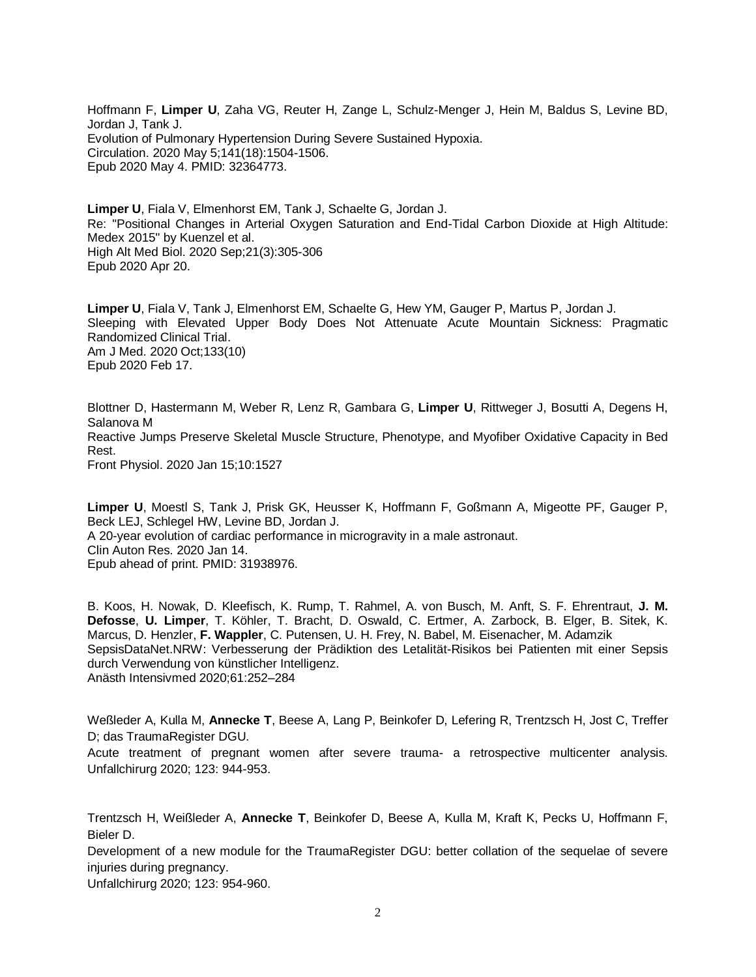Hoffmann F, **Limper U**, Zaha VG, Reuter H, Zange L, Schulz-Menger J, Hein M, Baldus S, Levine BD, Jordan J, Tank J. Evolution of Pulmonary Hypertension During Severe Sustained Hypoxia. Circulation. 2020 May 5;141(18):1504-1506. Epub 2020 May 4. PMID: 32364773.

**Limper U**, Fiala V, Elmenhorst EM, Tank J, Schaelte G, Jordan J. Re: "Positional Changes in Arterial Oxygen Saturation and End-Tidal Carbon Dioxide at High Altitude: Medex 2015" by Kuenzel et al. High Alt Med Biol. 2020 Sep;21(3):305-306 Epub 2020 Apr 20.

**Limper U**, Fiala V, Tank J, Elmenhorst EM, Schaelte G, Hew YM, Gauger P, Martus P, Jordan J. Sleeping with Elevated Upper Body Does Not Attenuate Acute Mountain Sickness: Pragmatic Randomized Clinical Trial. Am J Med. 2020 Oct;133(10) Epub 2020 Feb 17.

Blottner D, Hastermann M, Weber R, Lenz R, Gambara G, **Limper U**, Rittweger J, Bosutti A, Degens H, Salanova M Reactive Jumps Preserve Skeletal Muscle Structure, Phenotype, and Myofiber Oxidative Capacity in Bed Rest. Front Physiol. 2020 Jan 15;10:1527

**Limper U**, Moestl S, Tank J, Prisk GK, Heusser K, Hoffmann F, Goßmann A, Migeotte PF, Gauger P, Beck LEJ, Schlegel HW, Levine BD, Jordan J. A 20-year evolution of cardiac performance in microgravity in a male astronaut. Clin Auton Res. 2020 Jan 14. Epub ahead of print. PMID: 31938976.

B. Koos, H. Nowak, D. Kleefisch, K. Rump, T. Rahmel, A. von Busch, M. Anft, S. F. Ehrentraut, **J. M. Defosse**, **U. Limper**, T. Köhler, T. Bracht, D. Oswald, C. Ertmer, A. Zarbock, B. Elger, B. Sitek, K. Marcus, D. Henzler, **F. Wappler**, C. Putensen, U. H. Frey, N. Babel, M. Eisenacher, M. Adamzik SepsisDataNet.NRW: Verbesserung der Prädiktion des Letalität-Risikos bei Patienten mit einer Sepsis durch Verwendung von künstlicher Intelligenz. Anästh Intensivmed 2020;61:252–284

Weßleder A, Kulla M, **Annecke T**, Beese A, Lang P, Beinkofer D, Lefering R, Trentzsch H, Jost C, Treffer D; das TraumaRegister DGU.

Acute treatment of pregnant women after severe trauma- a retrospective multicenter analysis. Unfallchirurg 2020; 123: 944-953.

Trentzsch H, Weißleder A, **Annecke T**, Beinkofer D, Beese A, Kulla M, Kraft K, Pecks U, Hoffmann F, Bieler D.

Development of a new module for the TraumaRegister DGU: better collation of the sequelae of severe injuries during pregnancy.

Unfallchirurg 2020; 123: 954-960.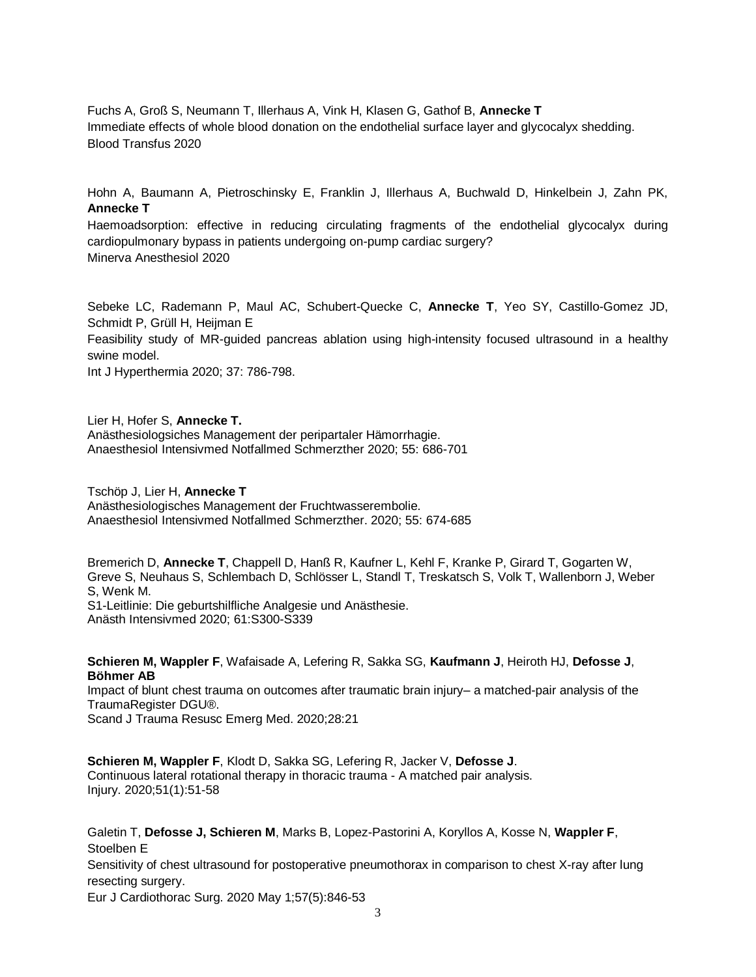Fuchs A, Groß S, Neumann T, Illerhaus A, Vink H, Klasen G, Gathof B, **Annecke T** Immediate effects of whole blood donation on the endothelial surface layer and glycocalyx shedding. Blood Transfus 2020

Hohn A, Baumann A, Pietroschinsky E, Franklin J, Illerhaus A, Buchwald D, Hinkelbein J, Zahn PK, **Annecke T**

Haemoadsorption: effective in reducing circulating fragments of the endothelial glycocalyx during cardiopulmonary bypass in patients undergoing on-pump cardiac surgery? Minerva Anesthesiol 2020

Sebeke LC, Rademann P, Maul AC, Schubert-Quecke C, **Annecke T**, Yeo SY, Castillo-Gomez JD, Schmidt P, Grüll H, Heijman E

Feasibility study of MR-guided pancreas ablation using high-intensity focused ultrasound in a healthy swine model.

Int J Hyperthermia 2020; 37: 786-798.

Lier H, Hofer S, **Annecke T.** Anästhesiologsiches Management der peripartaler Hämorrhagie.

Anaesthesiol Intensivmed Notfallmed Schmerzther 2020; 55: 686-701

Tschöp J, Lier H, **Annecke T** Anästhesiologisches Management der Fruchtwasserembolie. Anaesthesiol Intensivmed Notfallmed Schmerzther. 2020; 55: 674-685

Bremerich D, **Annecke T**, Chappell D, Hanß R, Kaufner L, Kehl F, Kranke P, Girard T, Gogarten W, Greve S, Neuhaus S, Schlembach D, Schlösser L, Standl T, Treskatsch S, Volk T, Wallenborn J, Weber S, Wenk M. S1-Leitlinie: Die geburtshilfliche Analgesie und Anästhesie. Anästh Intensivmed 2020; 61:S300-S339

**Schieren M, Wappler F**, Wafaisade A, Lefering R, Sakka SG, **Kaufmann J**, Heiroth HJ, **Defosse J**, **Böhmer AB**

Impact of blunt chest trauma on outcomes after traumatic brain injury– a matched-pair analysis of the TraumaRegister DGU®.

Scand J Trauma Resusc Emerg Med. 2020;28:21

**Schieren M, Wappler F**, Klodt D, Sakka SG, Lefering R, Jacker V, **Defosse J**. Continuous lateral rotational therapy in thoracic trauma - A matched pair analysis. Injury. 2020;51(1):51-58

Galetin T, **Defosse J, Schieren M**, Marks B, Lopez-Pastorini A, Koryllos A, Kosse N, **Wappler F**, Stoelben E

Sensitivity of chest ultrasound for postoperative pneumothorax in comparison to chest X-ray after lung resecting surgery.

Eur J Cardiothorac Surg. 2020 May 1;57(5):846-53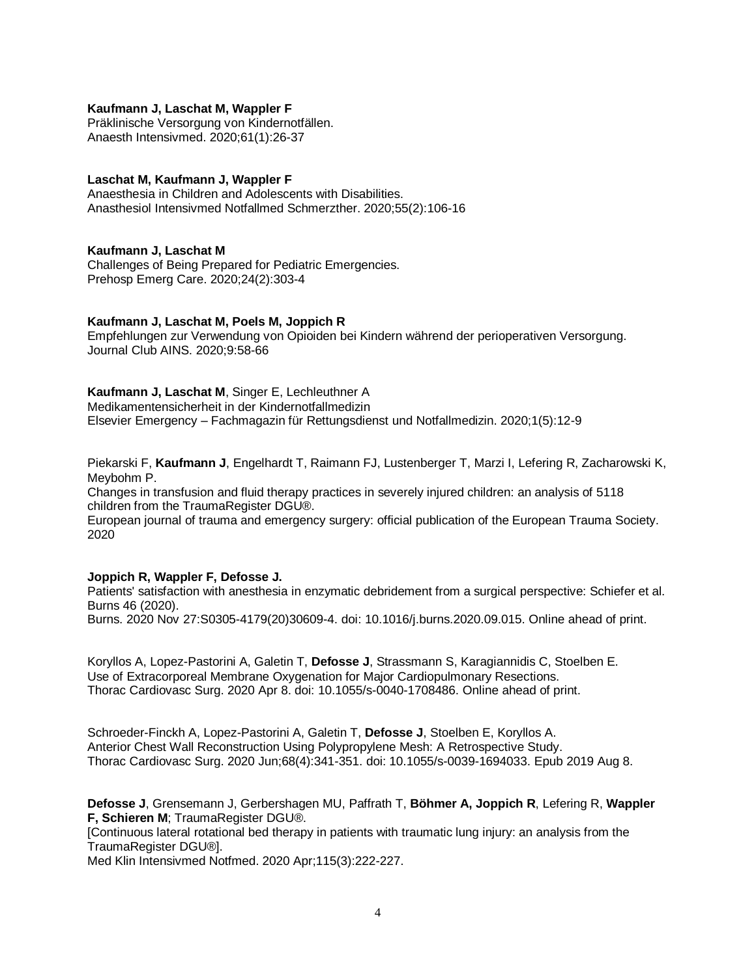## **Kaufmann J, Laschat M, Wappler F**

Präklinische Versorgung von Kindernotfällen. Anaesth Intensivmed. 2020;61(1):26-37

## **Laschat M, Kaufmann J, Wappler F**

Anaesthesia in Children and Adolescents with Disabilities. Anasthesiol Intensivmed Notfallmed Schmerzther. 2020;55(2):106-16

## **Kaufmann J, Laschat M**

Challenges of Being Prepared for Pediatric Emergencies. Prehosp Emerg Care. 2020;24(2):303-4

## **Kaufmann J, Laschat M, Poels M, Joppich R**

Empfehlungen zur Verwendung von Opioiden bei Kindern während der perioperativen Versorgung. Journal Club AINS. 2020;9:58-66

## **Kaufmann J, Laschat M**, Singer E, Lechleuthner A

Medikamentensicherheit in der Kindernotfallmedizin Elsevier Emergency – Fachmagazin für Rettungsdienst und Notfallmedizin. 2020;1(5):12-9

Piekarski F, **Kaufmann J**, Engelhardt T, Raimann FJ, Lustenberger T, Marzi I, Lefering R, Zacharowski K, Meybohm P.

Changes in transfusion and fluid therapy practices in severely injured children: an analysis of 5118 children from the TraumaRegister DGU®.

European journal of trauma and emergency surgery: official publication of the European Trauma Society. 2020

## **Joppich R, Wappler F, Defosse J.**

Patients' satisfaction with anesthesia in enzymatic debridement from a surgical perspective: Schiefer et al. Burns 46 (2020).

Burns. 2020 Nov 27:S0305-4179(20)30609-4. doi: 10.1016/j.burns.2020.09.015. Online ahead of print.

Koryllos A, Lopez-Pastorini A, Galetin T, **Defosse J**, Strassmann S, Karagiannidis C, Stoelben E. Use of Extracorporeal Membrane Oxygenation for Major Cardiopulmonary Resections. Thorac Cardiovasc Surg. 2020 Apr 8. doi: 10.1055/s-0040-1708486. Online ahead of print.

Schroeder-Finckh A, Lopez-Pastorini A, Galetin T, **Defosse J**, Stoelben E, Koryllos A. Anterior Chest Wall Reconstruction Using Polypropylene Mesh: A Retrospective Study. Thorac Cardiovasc Surg. 2020 Jun;68(4):341-351. doi: 10.1055/s-0039-1694033. Epub 2019 Aug 8.

**Defosse J**, Grensemann J, Gerbershagen MU, Paffrath T, **Böhmer A, Joppich R**, Lefering R, **Wappler F, Schieren M**; TraumaRegister DGU®.

[Continuous lateral rotational bed therapy in patients with traumatic lung injury: an analysis from the TraumaRegister DGU®].

Med Klin Intensivmed Notfmed. 2020 Apr;115(3):222-227.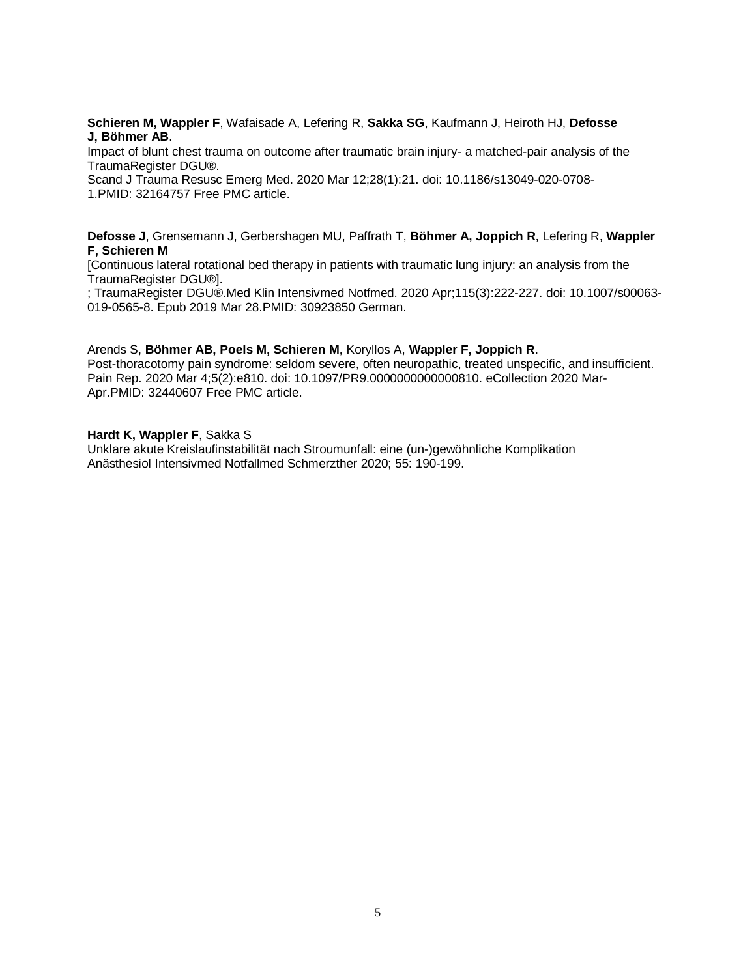**Schieren M, Wappler F**, Wafaisade A, Lefering R, **Sakka SG**, Kaufmann J, Heiroth HJ, **Defosse J, Böhmer AB**.

[Impact of blunt chest trauma on outcome after traumatic brain injury-](https://pubmed.ncbi.nlm.nih.gov/32164757/) a matched-pair analysis of the [TraumaRegister DGU®.](https://pubmed.ncbi.nlm.nih.gov/32164757/)

Scand J Trauma Resusc Emerg Med. 2020 Mar 12;28(1):21. doi: 10.1186/s13049-020-0708- 1.PMID: 32164757 Free PMC article.

**Defosse J**, Grensemann J, Gerbershagen MU, Paffrath T, **Böhmer A, Joppich R**, Lefering R, **Wappler F, Schieren M**

[\[Continuous lateral rotational bed therapy in patients with traumatic lung injury: an analysis from the](https://pubmed.ncbi.nlm.nih.gov/30923850/)  [TraumaRegister DGU®\].](https://pubmed.ncbi.nlm.nih.gov/30923850/)

; TraumaRegister DGU®.Med Klin Intensivmed Notfmed. 2020 Apr;115(3):222-227. doi: 10.1007/s00063- 019-0565-8. Epub 2019 Mar 28.PMID: 30923850 German.

#### Arends S, **Böhmer AB, Poels M, Schieren M**, Koryllos A, **Wappler F, Joppich R**.

[Post-thoracotomy pain syndrome: seldom severe, often neuropathic, treated unspecific, and insufficient.](https://pubmed.ncbi.nlm.nih.gov/32440607/) Pain Rep. 2020 Mar 4;5(2):e810. doi: 10.1097/PR9.0000000000000810. eCollection 2020 Mar-Apr.PMID: 32440607 Free PMC article.

## **Hardt K, Wappler F**, Sakka S

Unklare akute Kreislaufinstabilität nach Stroumunfall: eine (un-)gewöhnliche Komplikation Anästhesiol Intensivmed Notfallmed Schmerzther 2020; 55: 190-199.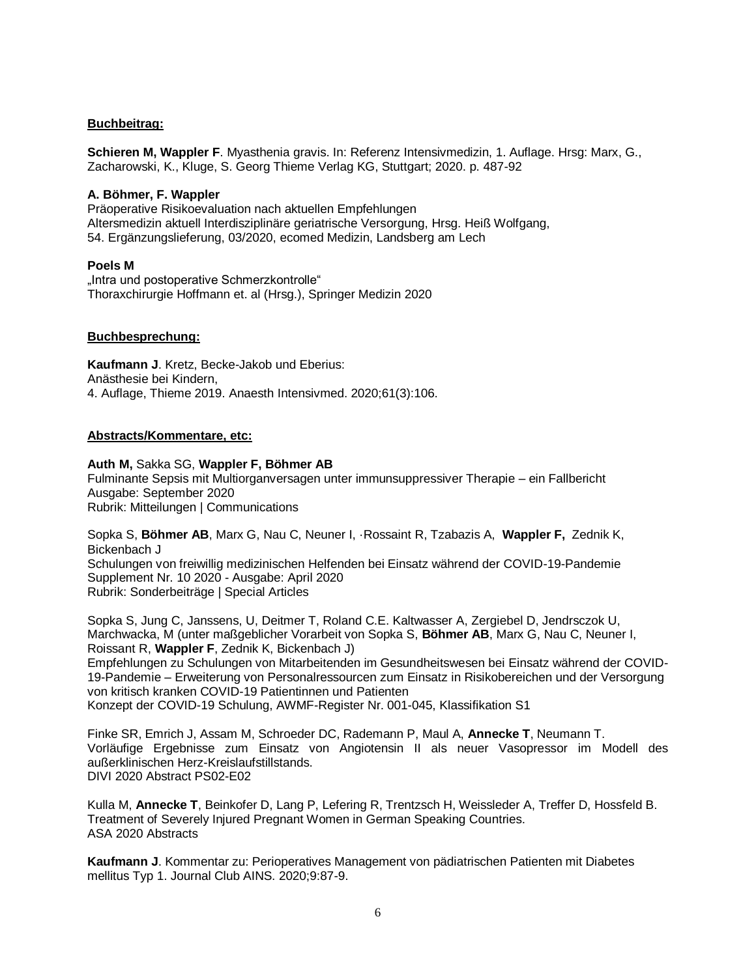## **Buchbeitrag:**

**Schieren M, Wappler F**. Myasthenia gravis. In: Referenz Intensivmedizin, 1. Auflage. Hrsg: Marx, G., Zacharowski, K., Kluge, S. Georg Thieme Verlag KG, Stuttgart; 2020. p. 487-92

## **A. Böhmer, F. Wappler**

Präoperative Risikoevaluation nach aktuellen Empfehlungen Altersmedizin aktuell Interdisziplinäre geriatrische Versorgung, Hrsg. Heiß Wolfgang, 54. Ergänzungslieferung, 03/2020, ecomed Medizin, Landsberg am Lech

## **Poels M**

"Intra und postoperative Schmerzkontrolle" Thoraxchirurgie Hoffmann et. al (Hrsg.), Springer Medizin 2020

## **Buchbesprechung:**

**Kaufmann J**. Kretz, Becke-Jakob und Eberius: Anästhesie bei Kindern, 4. Auflage, Thieme 2019. Anaesth Intensivmed. 2020;61(3):106.

## **Abstracts/Kommentare, etc:**

## **Auth M,** Sakka SG, **Wappler F, Böhmer AB**

[Fulminante Sepsis mit Multiorganversagen unter immunsuppressiver Therapie –](https://www.ai-online.info/archiv/2020/09-2020/fulminante-sepsis-mit-multiorganversagen-unter-immunsuppres-siver-therapie-ein-fall-bericht.html) ein Fallbericht Ausgabe: September 2020 Rubrik: Mitteilungen | Communications

Sopka S, **Böhmer AB**, Marx G, Nau C, Neuner I, ·Rossaint R, Tzabazis A, **Wappler F,** Zednik K, Bickenbach J [Schulungen von freiwillig medizinischen Helfenden bei Einsatz während der COVID-19-Pandemie](https://www.ai-online.info/supplements/2020/10-2020/schulungen-von-freiwillig-medizinischen-helfenden-bei-einsatz-waehrend-der-covid-19-pandemie.html) Supplement Nr. 10 2020 - Ausgabe: April 2020 Rubrik: Sonderbeiträge | Special Articles

Sopka S, Jung C, Janssens, U, Deitmer T, Roland C.E. Kaltwasser A, Zergiebel D, Jendrsczok U, Marchwacka, M (unter maßgeblicher Vorarbeit von Sopka S, **Böhmer AB**, Marx G, Nau C, Neuner I, Roissant R, **Wappler F**, Zednik K, Bickenbach J) Empfehlungen zu Schulungen von Mitarbeitenden im Gesundheitswesen bei Einsatz während der COVID-19-Pandemie – Erweiterung von Personalressourcen zum Einsatz in Risikobereichen und der Versorgung von kritisch kranken COVID-19 Patientinnen und Patienten Konzept der COVID-19 Schulung, AWMF-Register Nr. 001-045, Klassifikation S1

Finke SR, Emrich J, Assam M, Schroeder DC, Rademann P, Maul A, **Annecke T**, Neumann T. Vorläufige Ergebnisse zum Einsatz von Angiotensin II als neuer Vasopressor im Modell des außerklinischen Herz-Kreislaufstillstands. DIVI 2020 Abstract PS02-E02

Kulla M, **Annecke T**, Beinkofer D, Lang P, Lefering R, Trentzsch H, Weissleder A, Treffer D, Hossfeld B. Treatment of Severely Injured Pregnant Women in German Speaking Countries. ASA 2020 Abstracts

**Kaufmann J**. Kommentar zu: Perioperatives Management von pädiatrischen Patienten mit Diabetes mellitus Typ 1. Journal Club AINS. 2020;9:87-9.